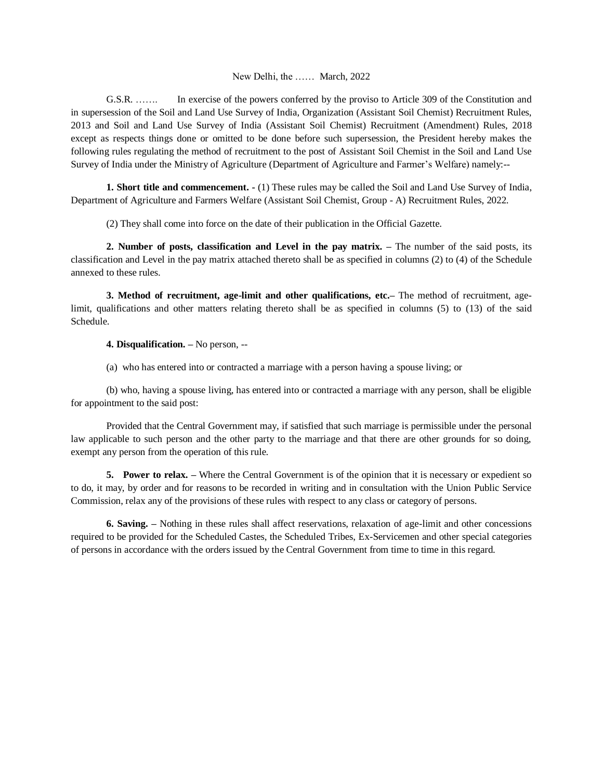## New Delhi, the …… March, 2022

G.S.R. ……. In exercise of the powers conferred by the proviso to Article 309 of the Constitution and in supersession of the Soil and Land Use Survey of India, Organization (Assistant Soil Chemist) Recruitment Rules, 2013 and Soil and Land Use Survey of India (Assistant Soil Chemist) Recruitment (Amendment) Rules, 2018 except as respects things done or omitted to be done before such supersession, the President hereby makes the following rules regulating the method of recruitment to the post of Assistant Soil Chemist in the Soil and Land Use Survey of India under the Ministry of Agriculture (Department of Agriculture and Farmer's Welfare) namely:--

**1. Short title and commencement. -** (1) These rules may be called the Soil and Land Use Survey of India, Department of Agriculture and Farmers Welfare (Assistant Soil Chemist, Group - A) Recruitment Rules, 2022.

(2) They shall come into force on the date of their publication in the Official Gazette.

**2. Number of posts, classification and Level in the pay matrix. –** The number of the said posts, its classification and Level in the pay matrix attached thereto shall be as specified in columns (2) to (4) of the Schedule annexed to these rules.

**3. Method of recruitment, age-limit and other qualifications, etc.–** The method of recruitment, agelimit, qualifications and other matters relating thereto shall be as specified in columns (5) to (13) of the said Schedule.

**4. Disqualification. –** No person, --

(a) who has entered into or contracted a marriage with a person having a spouse living; or

(b) who, having a spouse living, has entered into or contracted a marriage with any person, shall be eligible for appointment to the said post:

Provided that the Central Government may, if satisfied that such marriage is permissible under the personal law applicable to such person and the other party to the marriage and that there are other grounds for so doing, exempt any person from the operation of this rule.

**5. Power to relax.** – Where the Central Government is of the opinion that it is necessary or expedient so to do, it may, by order and for reasons to be recorded in writing and in consultation with the Union Public Service Commission, relax any of the provisions of these rules with respect to any class or category of persons.

**6. Saving. –** Nothing in these rules shall affect reservations, relaxation of age-limit and other concessions required to be provided for the Scheduled Castes, the Scheduled Tribes, Ex-Servicemen and other special categories of persons in accordance with the orders issued by the Central Government from time to time in this regard.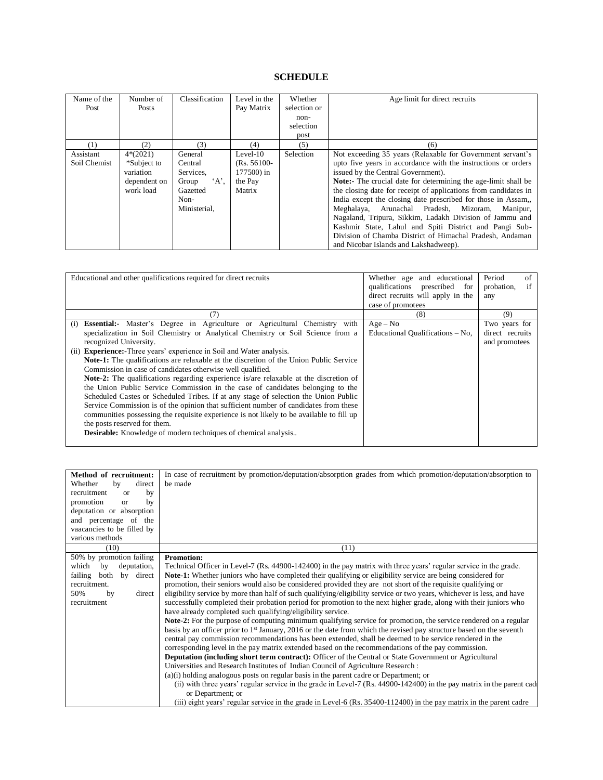## **SCHEDULE**

| Name of the  | Number of    | Classification | Level in the   | Whether      | Age limit for direct recruits                                   |
|--------------|--------------|----------------|----------------|--------------|-----------------------------------------------------------------|
| Post         | Posts        |                | Pay Matrix     | selection or |                                                                 |
|              |              |                |                | non-         |                                                                 |
|              |              |                |                | selection    |                                                                 |
|              |              |                |                | post         |                                                                 |
| (1)          | (2)          | (3)            | (4)            | (5)          | (6)                                                             |
| Assistant    | $4*(2021)$   | General        | $Level-10$     | Selection    | Not exceeding 35 years (Relaxable for Government servant's      |
| Soil Chemist | *Subject to  | Central        | $(Rs. 56100 -$ |              | upto five years in accordance with the instructions or orders   |
|              | variation    | Services.      | 177500) in     |              | issued by the Central Government).                              |
|              | dependent on | $A$ ,<br>Group | the Pay        |              | Note:- The crucial date for determining the age-limit shall be  |
|              | work load    | Gazetted       | Matrix         |              | the closing date for receipt of applications from candidates in |
|              |              | Non-           |                |              | India except the closing date prescribed for those in Assam.    |
|              |              | Ministerial,   |                |              | Meghalaya, Arunachal Pradesh, Mizoram,<br>Manipur,              |
|              |              |                |                |              | Nagaland, Tripura, Sikkim, Ladakh Division of Jammu and         |
|              |              |                |                |              | Kashmir State, Lahul and Spiti District and Pangi Sub-          |
|              |              |                |                |              | Division of Chamba District of Himachal Pradesh, Andaman        |
|              |              |                |                |              | and Nicobar Islands and Lakshadweep).                           |

| Educational and other qualifications required for direct recruits                                                                                                                                                                                                                                                                                                                                                                                                                                                                                                                                                                                                                                                                                                                                                          | Whether age and educational<br>qualifications prescribed<br>for<br>direct recruits will apply in the<br>case of promotees | Period<br>of<br>if<br>probation,<br>any                  |
|----------------------------------------------------------------------------------------------------------------------------------------------------------------------------------------------------------------------------------------------------------------------------------------------------------------------------------------------------------------------------------------------------------------------------------------------------------------------------------------------------------------------------------------------------------------------------------------------------------------------------------------------------------------------------------------------------------------------------------------------------------------------------------------------------------------------------|---------------------------------------------------------------------------------------------------------------------------|----------------------------------------------------------|
| (7)<br><b>Essential:-</b> Master's Degree in Agriculture or Agricultural Chemistry with<br>(1)<br>specialization in Soil Chemistry or Analytical Chemistry or Soil Science from a<br>recognized University.<br>(ii) <b>Experience:</b> Three years' experience in Soil and Water analysis.<br><b>Note-1:</b> The qualifications are relaxable at the discretion of the Union Public Service<br>Commission in case of candidates otherwise well qualified.<br><b>Note-2:</b> The qualifications regarding experience is/are relaxable at the discretion of<br>the Union Public Service Commission in the case of candidates belonging to the<br>Scheduled Castes or Scheduled Tribes. If at any stage of selection the Union Public<br>Service Commission is of the opinion that sufficient number of candidates from these | (8)<br>$Age - No$<br>Educational Qualifications $-$ No,                                                                   | (9)<br>Two years for<br>direct recruits<br>and promotees |
| communities possessing the requisite experience is not likely to be available to fill up<br>the posts reserved for them.<br><b>Desirable:</b> Knowledge of modern techniques of chemical analysis                                                                                                                                                                                                                                                                                                                                                                                                                                                                                                                                                                                                                          |                                                                                                                           |                                                          |

| Method of recruitment:          | In case of recruitment by promotion/deputation/absorption grades from which promotion/deputation/absorption to                                                                    |
|---------------------------------|-----------------------------------------------------------------------------------------------------------------------------------------------------------------------------------|
| Whether<br>direct<br>by         | be made                                                                                                                                                                           |
| recruitment<br>by<br>$\alpha$   |                                                                                                                                                                                   |
| promotion<br>by<br><b>or</b>    |                                                                                                                                                                                   |
| deputation or absorption        |                                                                                                                                                                                   |
| and percentage of the           |                                                                                                                                                                                   |
| vaacancies to be filled by      |                                                                                                                                                                                   |
| various methods                 |                                                                                                                                                                                   |
| (10)                            | (11)                                                                                                                                                                              |
| 50% by promotion failing        | <b>Promotion:</b>                                                                                                                                                                 |
| which<br>by<br>deputation,      | Technical Officer in Level-7 (Rs. 44900-142400) in the pay matrix with three years' regular service in the grade.                                                                 |
| failing<br>both<br>by<br>direct | <b>Note-1:</b> Whether juniors who have completed their qualifying or eligibility service are being considered for                                                                |
| recruitment.                    | promotion, their seniors would also be considered provided they are not short of the requisite qualifying or                                                                      |
| 50%<br>direct<br>by             | eligibility service by more than half of such qualifying/eligibility service or two years, whichever is less, and have                                                            |
| recruitment                     | successfully completed their probation period for promotion to the next higher grade, along with their juniors who<br>have already completed such qualifying/eligibility service. |
|                                 | <b>Note-2:</b> For the purpose of computing minimum qualifying service for promotion, the service rendered on a regular                                                           |
|                                 | basis by an officer prior to 1 <sup>st</sup> January, 2016 or the date from which the revised pay structure based on the seventh                                                  |
|                                 | central pay commission recommendations has been extended, shall be deemed to be service rendered in the                                                                           |
|                                 | corresponding level in the pay matrix extended based on the recommendations of the pay commission.                                                                                |
|                                 | Deputation (including short term contract): Officer of the Central or State Government or Agricultural                                                                            |
|                                 | Universities and Research Institutes of Indian Council of Agriculture Research :                                                                                                  |
|                                 | $(a)(i)$ holding analogous posts on regular basis in the parent cadre or Department; or                                                                                           |
|                                 | (ii) with three years' regular service in the grade in Level-7 (Rs. 44900-142400) in the pay matrix in the parent cad                                                             |
|                                 | or Department; or                                                                                                                                                                 |
|                                 | (iii) eight years' regular service in the grade in Level-6 (Rs. 35400-112400) in the pay matrix in the parent cadre                                                               |